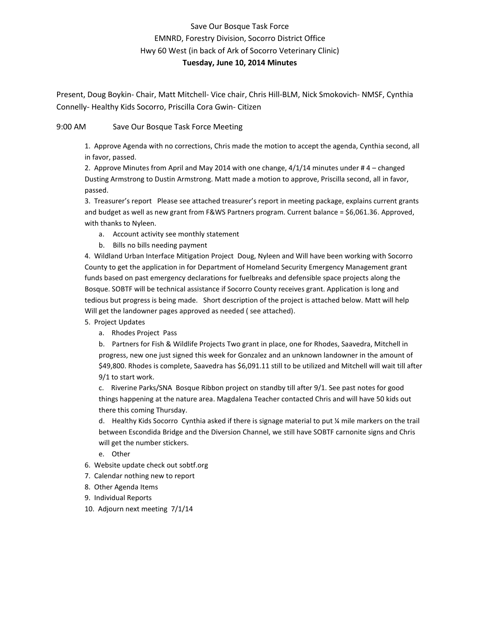## Save Our Bosque Task Force EMNRD, Forestry Division, Socorro District Office Hwy 60 West (in back of Ark of Socorro Veterinary Clinic)

### **Tuesday, June 10, 2014 Minutes**

Present, Doug Boykin- Chair, Matt Mitchell- Vice chair, Chris Hill-BLM, Nick Smokovich- NMSF, Cynthia Connelly- Healthy Kids Socorro, Priscilla Cora Gwin- Citizen

### 9:00 AM Save Our Bosque Task Force Meeting

1. Approve Agenda with no corrections, Chris made the motion to accept the agenda, Cynthia second, all in favor, passed.

2. Approve Minutes from April and May 2014 with one change, 4/1/14 minutes under # 4 – changed Dusting Armstrong to Dustin Armstrong. Matt made a motion to approve, Priscilla second, all in favor, passed.

3. Treasurer's report Please see attached treasurer's report in meeting package, explains current grants and budget as well as new grant from F&WS Partners program. Current balance = \$6,061.36. Approved, with thanks to Nyleen.

- a. Account activity see monthly statement
- b. Bills no bills needing payment

4. Wildland Urban Interface Mitigation Project Doug, Nyleen and Will have been working with Socorro County to get the application in for Department of Homeland Security Emergency Management grant funds based on past emergency declarations for fuelbreaks and defensible space projects along the Bosque. SOBTF will be technical assistance if Socorro County receives grant. Application is long and tedious but progress is being made. Short description of the project is attached below. Matt will help Will get the landowner pages approved as needed ( see attached).

### 5. Project Updates

a. Rhodes Project Pass

b. Partners for Fish & Wildlife Projects Two grant in place, one for Rhodes, Saavedra, Mitchell in progress, new one just signed this week for Gonzalez and an unknown landowner in the amount of \$49,800. Rhodes is complete, Saavedra has \$6,091.11 still to be utilized and Mitchell will wait till after 9/1 to start work.

c. Riverine Parks/SNA Bosque Ribbon project on standby till after 9/1. See past notes for good things happening at the nature area. Magdalena Teacher contacted Chris and will have 50 kids out there this coming Thursday.

d. Healthy Kids Socorro Cynthia asked if there is signage material to put ¼ mile markers on the trail between Escondida Bridge and the Diversion Channel, we still have SOBTF carnonite signs and Chris will get the number stickers.

- e. Other
- 6. Website update check out sobtf.org
- 7. Calendar nothing new to report
- 8. Other Agenda Items
- 9. Individual Reports
- 10. Adjourn next meeting 7/1/14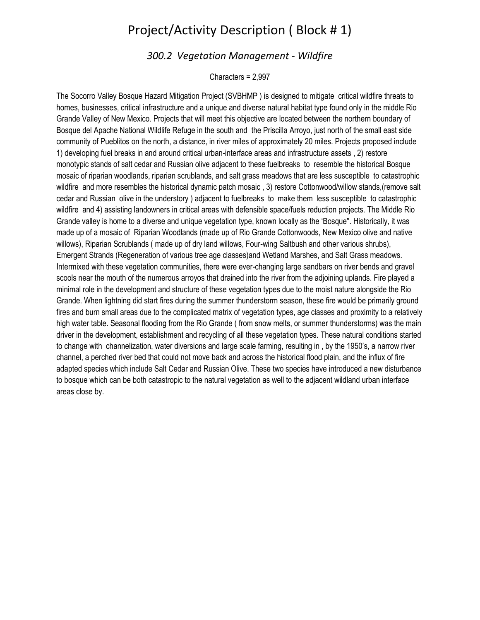# Project/Activity Description ( Block # 1)

## *300.2 Vegetation Management - Wildfire*

Characters = 2,997

The Socorro Valley Bosque Hazard Mitigation Project (SVBHMP ) is designed to mitigate critical wildfire threats to homes, businesses, critical infrastructure and a unique and diverse natural habitat type found only in the middle Rio Grande Valley of New Mexico. Projects that will meet this objective are located between the northern boundary of Bosque del Apache National Wildlife Refuge in the south and the Priscilla Arroyo, just north of the small east side community of Pueblitos on the north, a distance, in river miles of approximately 20 miles. Projects proposed include 1) developing fuel breaks in and around critical urban-interface areas and infrastructure assets , 2) restore monotypic stands of salt cedar and Russian olive adjacent to these fuelbreaks to resemble the historical Bosque mosaic of riparian woodlands, riparian scrublands, and salt grass meadows that are less susceptible to catastrophic wildfire and more resembles the historical dynamic patch mosaic , 3) restore Cottonwood/willow stands,(remove salt cedar and Russian olive in the understory ) adjacent to fuelbreaks to make them less susceptible to catastrophic wildfire and 4) assisting landowners in critical areas with defensible space/fuels reduction projects. The Middle Rio Grande valley is home to a diverse and unique vegetation type, known locally as the 'Bosque". Historically, it was made up of a mosaic of Riparian Woodlands (made up of Rio Grande Cottonwoods, New Mexico olive and native willows), Riparian Scrublands ( made up of dry land willows, Four-wing Saltbush and other various shrubs), Emergent Strands (Regeneration of various tree age classes)and Wetland Marshes, and Salt Grass meadows. Intermixed with these vegetation communities, there were ever-changing large sandbars on river bends and gravel scools near the mouth of the numerous arroyos that drained into the river from the adjoining uplands. Fire played a minimal role in the development and structure of these vegetation types due to the moist nature alongside the Rio Grande. When lightning did start fires during the summer thunderstorm season, these fire would be primarily ground fires and burn small areas due to the complicated matrix of vegetation types, age classes and proximity to a relatively high water table. Seasonal flooding from the Rio Grande ( from snow melts, or summer thunderstorms) was the main driver in the development, establishment and recycling of all these vegetation types. These natural conditions started to change with channelization, water diversions and large scale farming, resulting in , by the 1950's, a narrow river channel, a perched river bed that could not move back and across the historical flood plain, and the influx of fire adapted species which include Salt Cedar and Russian Olive. These two species have introduced a new disturbance to bosque which can be both catastropic to the natural vegetation as well to the adjacent wildland urban interface areas close by.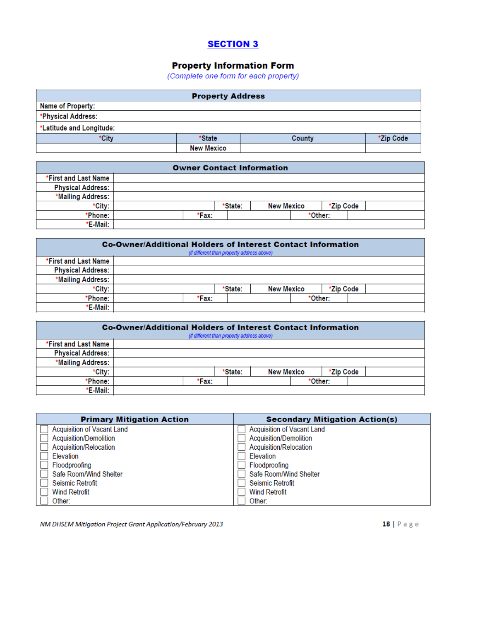## **SECTION 3**

## **Property Information Form**

(Complete one form for each property)

| <b>Property Address</b>  |                   |        |           |  |  |  |
|--------------------------|-------------------|--------|-----------|--|--|--|
| Name of Property:        |                   |        |           |  |  |  |
| *Physical Address:       |                   |        |           |  |  |  |
| *Latitude and Longitude: |                   |        |           |  |  |  |
| *Citv                    | *State            | County | *Zip Code |  |  |  |
|                          | <b>New Mexico</b> |        |           |  |  |  |

| <b>Owner Contact Information</b> |  |       |         |                   |  |           |  |  |
|----------------------------------|--|-------|---------|-------------------|--|-----------|--|--|
| *First and Last Name             |  |       |         |                   |  |           |  |  |
| <b>Physical Address:</b>         |  |       |         |                   |  |           |  |  |
| *Mailing Address:                |  |       |         |                   |  |           |  |  |
| *City:                           |  |       | *State: | <b>New Mexico</b> |  | *Zip Code |  |  |
| *Phone:                          |  | *Fax: |         |                   |  | *Other:   |  |  |
| *E-Mail:                         |  |       |         |                   |  |           |  |  |

| Co-Owner/Additional Holders of Interest Contact Information<br>(If different than property address above) |  |       |         |                   |         |           |  |
|-----------------------------------------------------------------------------------------------------------|--|-------|---------|-------------------|---------|-----------|--|
| *First and Last Name                                                                                      |  |       |         |                   |         |           |  |
| <b>Physical Address:</b>                                                                                  |  |       |         |                   |         |           |  |
| *Mailing Address:                                                                                         |  |       |         |                   |         |           |  |
| *City:                                                                                                    |  |       | *State: | <b>New Mexico</b> |         | *Zip Code |  |
| *Phone:                                                                                                   |  | *Fax: |         |                   | *Other: |           |  |
| *E-Mail:                                                                                                  |  |       |         |                   |         |           |  |

| <b>Co-Owner/Additional Holders of Interest Contact Information</b><br>(If different than property address above) |  |       |         |                   |  |           |  |
|------------------------------------------------------------------------------------------------------------------|--|-------|---------|-------------------|--|-----------|--|
| *First and Last Name                                                                                             |  |       |         |                   |  |           |  |
| <b>Physical Address:</b>                                                                                         |  |       |         |                   |  |           |  |
| *Mailing Address:                                                                                                |  |       |         |                   |  |           |  |
| *City:                                                                                                           |  |       | *State: | <b>New Mexico</b> |  | *Zip Code |  |
| *Phone:                                                                                                          |  | *Fax: |         |                   |  | *Other:   |  |
| *E-Mail:                                                                                                         |  |       |         |                   |  |           |  |

| <b>Primary Mitigation Action</b>  | <b>Secondary Mitigation Action(s)</b> |
|-----------------------------------|---------------------------------------|
| <b>Acquisition of Vacant Land</b> | <b>Acquisition of Vacant Land</b>     |
| <b>Acquisition/Demolition</b>     | <b>Acquisition/Demolition</b>         |
| Acquisition/Relocation            | Acquisition/Relocation                |
| Elevation                         | Elevation                             |
| Floodproofing                     | Floodproofing                         |
| Safe Room/Wind Shelter            | Safe Room/Wind Shelter                |
| <b>Seismic Retrofit</b>           | <b>Seismic Retrofit</b>               |
| <b>Wind Retrofit</b>              | <b>Wind Retrofit</b>                  |
| Other:                            | Other:                                |

NM DHSEM Mitigation Project Grant Application/February 2013

18 | Page